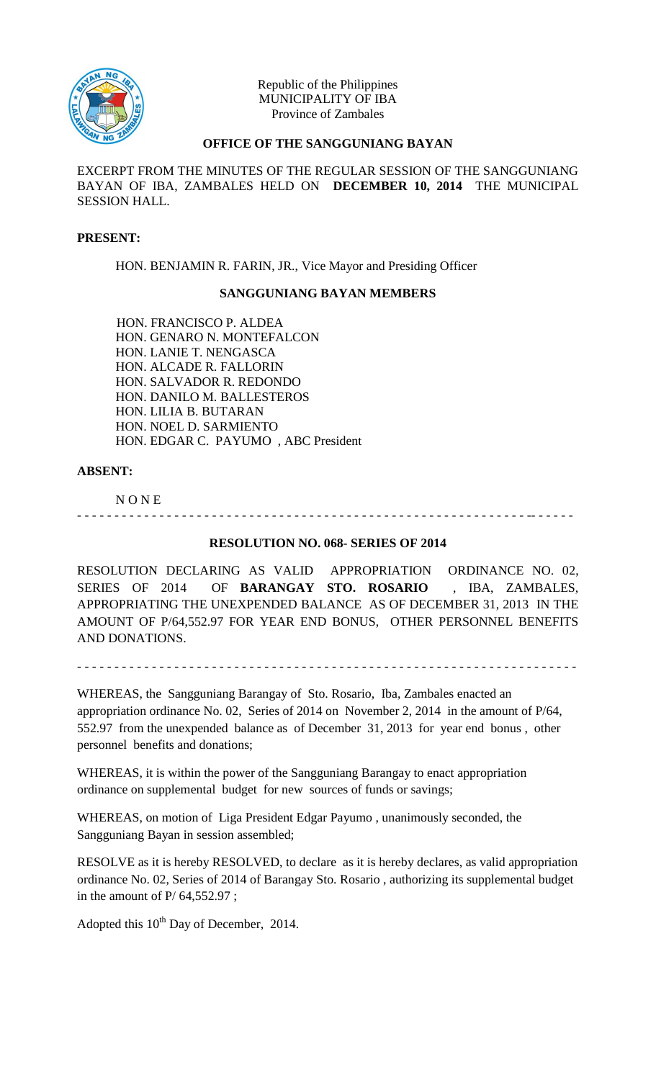

Republic of the Philippines MUNICIPALITY OF IBA Province of Zambales

# **OFFICE OF THE SANGGUNIANG BAYAN**

EXCERPT FROM THE MINUTES OF THE REGULAR SESSION OF THE SANGGUNIANG BAYAN OF IBA, ZAMBALES HELD ON **DECEMBER 10, 2014** THE MUNICIPAL SESSION HALL.

#### **PRESENT:**

HON. BENJAMIN R. FARIN, JR., Vice Mayor and Presiding Officer

### **SANGGUNIANG BAYAN MEMBERS**

HON. FRANCISCO P. ALDEA HON. GENARO N. MONTEFALCON HON. LANIE T. NENGASCA HON. ALCADE R. FALLORIN HON. SALVADOR R. REDONDO HON. DANILO M. BALLESTEROS HON. LILIA B. BUTARAN HON. NOEL D. SARMIENTO HON. EDGAR C. PAYUMO , ABC President

# **ABSENT:**

N O N E

# **RESOLUTION NO. 068- SERIES OF 2014**

- - - - - - - - - - - - - - - - - - - - - - - - - - - - - - - - - - - - - - - - - - - - - - - - - - - - - - - - - - - - -- - - - - -

RESOLUTION DECLARING AS VALID APPROPRIATION ORDINANCE NO. 02, SERIES OF 2014 OF **BARANGAY STO. ROSARIO** , IBA, ZAMBALES, APPROPRIATING THE UNEXPENDED BALANCE AS OF DECEMBER 31, 2013 IN THE AMOUNT OF P/64,552.97 FOR YEAR END BONUS, OTHER PERSONNEL BENEFITS AND DONATIONS.

- - - - - - - - - - - - - - - - - - - - - - - - - - - - - - - - - - - - - - - - - - - - - - - - - - - - - - - - - - - - - - - - - - -

WHEREAS, the Sangguniang Barangay of Sto. Rosario, Iba, Zambales enacted an appropriation ordinance No. 02, Series of 2014 on November 2, 2014 in the amount of P/64, 552.97 from the unexpended balance as of December 31, 2013 for year end bonus , other personnel benefits and donations;

WHEREAS, it is within the power of the Sangguniang Barangay to enact appropriation ordinance on supplemental budget for new sources of funds or savings;

WHEREAS, on motion of Liga President Edgar Payumo , unanimously seconded, the Sangguniang Bayan in session assembled;

RESOLVE as it is hereby RESOLVED, to declare as it is hereby declares, as valid appropriation ordinance No. 02, Series of 2014 of Barangay Sto. Rosario , authorizing its supplemental budget in the amount of P/ 64,552.97 ;

Adopted this  $10^{th}$  Day of December, 2014.